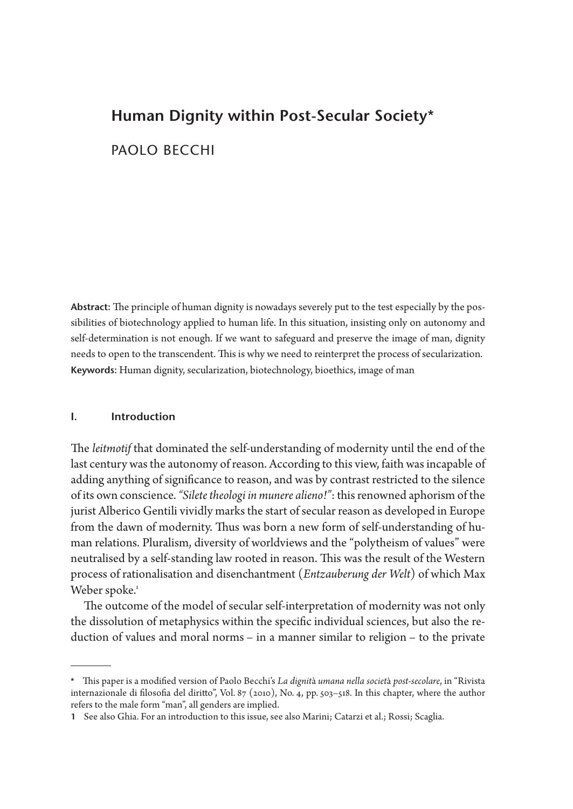# **Human Dignity within Post-Secular Society**\* PAOLO BECCHI

**Abstract:** The principle of human dignity is nowadays severely put to the test especially by the possibilities of biotechnology applied to human life. In this situation, insisting only on autonomy and self-determination is not enough. If we want to safeguard and preserve the image of man, dignity needs to open to the transcendent. This is why we need to reinterpret the process of secularization. **Keywords:** Human dignity, secularization, biotechnology, bioethics, image of man

# **I. Introduction**

The *leitmotif* that dominated the self-understanding of modernity until the end of the last century was the autonomy of reason. According to this view, faith was incapable of adding anything of significance to reason, and was by contrast restricted to the silence of its own conscience. *"Silete theologi in munere alieno!"*: this renowned aphorism of the jurist Alberico Gentili vividly marks the start of secular reason as developed in Europe from the dawn of modernity. Thus was born a new form of self-understanding of human relations. Pluralism, diversity of worldviews and the "polytheism of values" were neutralised by a self-standing law rooted in reason. This was the result of the Western process of rationalisation and disenchantment (*Entzauberung der Welt*) of which Max Weber spoke.<sup>1</sup>

The outcome of the model of secular self-interpretation of modernity was not only the dissolution of metaphysics within the specific individual sciences, but also the reduction of values and moral norms – in a manner similar to religion – to the private

**<sup>\*</sup>** This paper is a modified version of Paolo Becchi's *La dignit*à *umana nella societ*à *post-secolare*, in "Rivista internazionale di filosofia del diritto", Vol. 87 (2010), No. 4, pp. 503–518. In this chapter, where the author refers to the male form "man", all genders are implied.

**<sup>1</sup>** See also Ghia. For an introduction to this issue, see also Marini; Catarzi et al.; Rossi; Scaglia.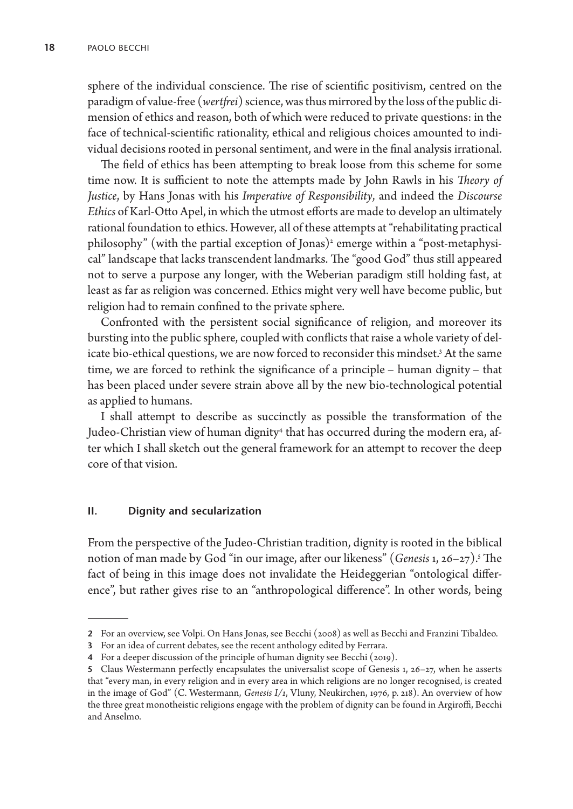sphere of the individual conscience. The rise of scientific positivism, centred on the paradigm of value-free (*wertfrei*) science, was thus mirrored by the loss of the public dimension of ethics and reason, both of which were reduced to private questions: in the face of technical-scientific rationality, ethical and religious choices amounted to individual decisions rooted in personal sentiment, and were in the final analysis irrational.

The field of ethics has been attempting to break loose from this scheme for some time now. It is sufficient to note the attempts made by John Rawls in his *Theory of Justice*, by Hans Jonas with his *Imperative of Responsibility*, and indeed the *Discourse Ethics* of Karl-Otto Apel, in which the utmost efforts are made to develop an ultimately rational foundation to ethics. However, all of these attempts at "rehabilitating practical philosophy" (with the partial exception of Jonas)<sup>,</sup> emerge within a "post-metaphysical" landscape that lacks transcendent landmarks. The "good God" thus still appeared not to serve a purpose any longer, with the Weberian paradigm still holding fast, at least as far as religion was concerned. Ethics might very well have become public, but religion had to remain confined to the private sphere.

Confronted with the persistent social significance of religion, and moreover its bursting into the public sphere, coupled with conflicts that raise a whole variety of delicate bio-ethical questions, we are now forced to reconsider this mindset.<sup>3</sup> At the same time, we are forced to rethink the significance of a principle – human dignity – that has been placed under severe strain above all by the new bio-technological potential as applied to humans.

I shall attempt to describe as succinctly as possible the transformation of the Judeo-Christian view of human dignity<sup>4</sup> that has occurred during the modern era, after which I shall sketch out the general framework for an attempt to recover the deep core of that vision.

# **II. Dignity and secularization**

From the perspective of the Judeo-Christian tradition, dignity is rooted in the biblical notion of man made by God "in our image, after our likeness" (*Genesis* 1, 26–27).5 The fact of being in this image does not invalidate the Heideggerian "ontological difference", but rather gives rise to an "anthropological difference". In other words, being

**<sup>2</sup>** For an overview, see Volpi. On Hans Jonas, see Becchi (2008) as well as Becchi and Franzini Tibaldeo.

**<sup>3</sup>** For an idea of current debates, see the recent anthology edited by Ferrara.

**<sup>4</sup>** For a deeper discussion of the principle of human dignity see Becchi (2019).

**<sup>5</sup>** Claus Westermann perfectly encapsulates the universalist scope of Genesis 1, 26–27, when he asserts that "every man, in every religion and in every area in which religions are no longer recognised, is created in the image of God" (C. Westermann, *Genesis I/1*, Vluny, Neukirchen, 1976, p. 218). An overview of how the three great monotheistic religions engage with the problem of dignity can be found in Argiroffi, Becchi and Anselmo.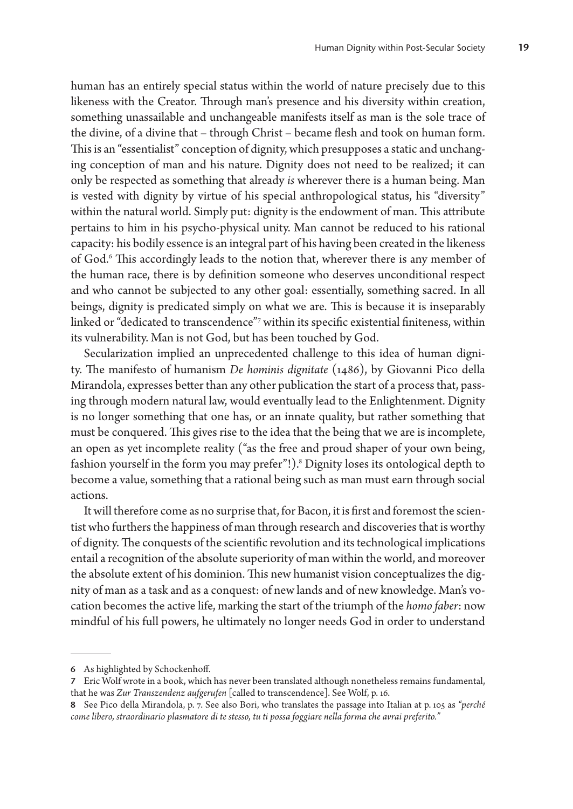human has an entirely special status within the world of nature precisely due to this likeness with the Creator. Through man's presence and his diversity within creation, something unassailable and unchangeable manifests itself as man is the sole trace of the divine, of a divine that – through Christ – became flesh and took on human form. This is an "essentialist" conception of dignity, which presupposes a static and unchanging conception of man and his nature. Dignity does not need to be realized; it can only be respected as something that already *is* wherever there is a human being. Man is vested with dignity by virtue of his special anthropological status, his "diversity" within the natural world. Simply put: dignity is the endowment of man. This attribute pertains to him in his psycho-physical unity. Man cannot be reduced to his rational capacity: his bodily essence is an integral part of his having been created in the likeness of God.6 This accordingly leads to the notion that, wherever there is any member of the human race, there is by definition someone who deserves unconditional respect and who cannot be subjected to any other goal: essentially, something sacred. In all beings, dignity is predicated simply on what we are. This is because it is inseparably linked or "dedicated to transcendence"7 within its specific existential finiteness, within its vulnerability. Man is not God, but has been touched by God.

Secularization implied an unprecedented challenge to this idea of human dignity. The manifesto of humanism *De hominis dignitate* (1486), by Giovanni Pico della Mirandola, expresses better than any other publication the start of a process that, passing through modern natural law, would eventually lead to the Enlightenment. Dignity is no longer something that one has, or an innate quality, but rather something that must be conquered. This gives rise to the idea that the being that we are is incomplete, an open as yet incomplete reality ("as the free and proud shaper of your own being, fashion yourself in the form you may prefer"!).8 Dignity loses its ontological depth to become a value, something that a rational being such as man must earn through social actions.

It will therefore come as no surprise that, for Bacon, it is first and foremost the scientist who furthers the happiness of man through research and discoveries that is worthy of dignity. The conquests of the scientific revolution and its technological implications entail a recognition of the absolute superiority of man within the world, and moreover the absolute extent of his dominion. This new humanist vision conceptualizes the dignity of man as a task and as a conquest: of new lands and of new knowledge. Man's vocation becomes the active life, marking the start of the triumph of the *homo faber*: now mindful of his full powers, he ultimately no longer needs God in order to understand

**<sup>6</sup>** As highlighted by Schockenhoff.

**<sup>7</sup>** Eric Wolf wrote in a book, which has never been translated although nonetheless remains fundamental, that he was *Zur Transzendenz aufgerufen* [called to transcendence]. See Wolf, p. 16.

**<sup>8</sup>** See Pico della Mirandola, p. 7. See also Bori, who translates the passage into Italian at p. 105 as *"perché come libero, straordinario plasmatore di te stesso, tu ti possa foggiare nella forma che avrai preferito."*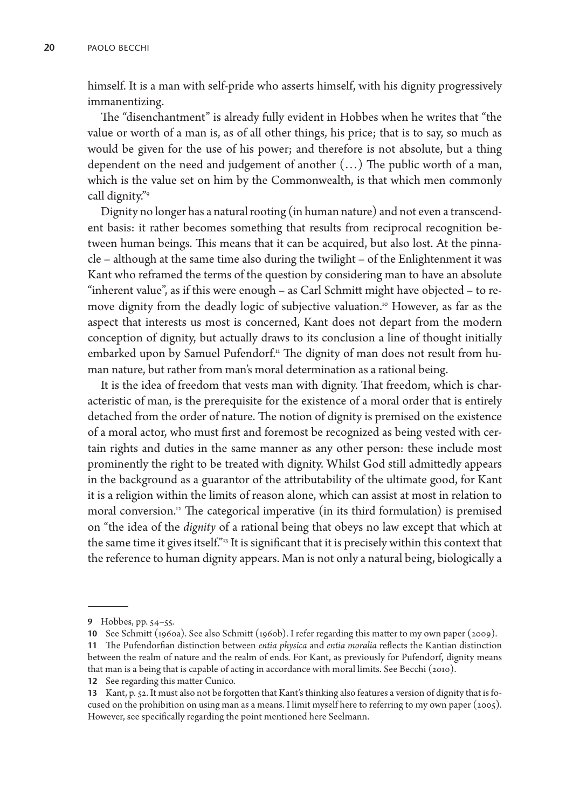himself. It is a man with self-pride who asserts himself, with his dignity progressively immanentizing.

The "disenchantment" is already fully evident in Hobbes when he writes that "the value or worth of a man is, as of all other things, his price; that is to say, so much as would be given for the use of his power; and therefore is not absolute, but a thing dependent on the need and judgement of another (…) The public worth of a man, which is the value set on him by the Commonwealth, is that which men commonly call dignity."9

Dignity no longer has a natural rooting (in human nature) and not even a transcendent basis: it rather becomes something that results from reciprocal recognition between human beings. This means that it can be acquired, but also lost. At the pinnacle – although at the same time also during the twilight – of the Enlightenment it was Kant who reframed the terms of the question by considering man to have an absolute "inherent value", as if this were enough – as Carl Schmitt might have objected – to remove dignity from the deadly logic of subjective valuation.<sup>10</sup> However, as far as the aspect that interests us most is concerned, Kant does not depart from the modern conception of dignity, but actually draws to its conclusion a line of thought initially embarked upon by Samuel Pufendorf.<sup>11</sup> The dignity of man does not result from human nature, but rather from man's moral determination as a rational being.

It is the idea of freedom that vests man with dignity. That freedom, which is characteristic of man, is the prerequisite for the existence of a moral order that is entirely detached from the order of nature. The notion of dignity is premised on the existence of a moral actor, who must first and foremost be recognized as being vested with certain rights and duties in the same manner as any other person: these include most prominently the right to be treated with dignity. Whilst God still admittedly appears in the background as a guarantor of the attributability of the ultimate good, for Kant it is a religion within the limits of reason alone, which can assist at most in relation to moral conversion.12 The categorical imperative (in its third formulation) is premised on "the idea of the *dignity* of a rational being that obeys no law except that which at the same time it gives itself."<sup>3</sup> It is significant that it is precisely within this context that the reference to human dignity appears. Man is not only a natural being, biologically a

**10** See Schmitt (1960a). See also Schmitt (1960b). I refer regarding this matter to my own paper (2009).

**12** See regarding this matter Cunico.

**<sup>9</sup>** Hobbes, pp. 54–55.

**<sup>11</sup>** The Pufendorfian distinction between *entia physica* and *entia moralia* reflects the Kantian distinction between the realm of nature and the realm of ends. For Kant, as previously for Pufendorf, dignity means that man is a being that is capable of acting in accordance with moral limits. See Becchi (2010).

**<sup>13</sup>** Kant, p. 52. It must also not be forgotten that Kant's thinking also features a version of dignity that is focused on the prohibition on using man as a means. I limit myself here to referring to my own paper (2005). However, see specifically regarding the point mentioned here Seelmann.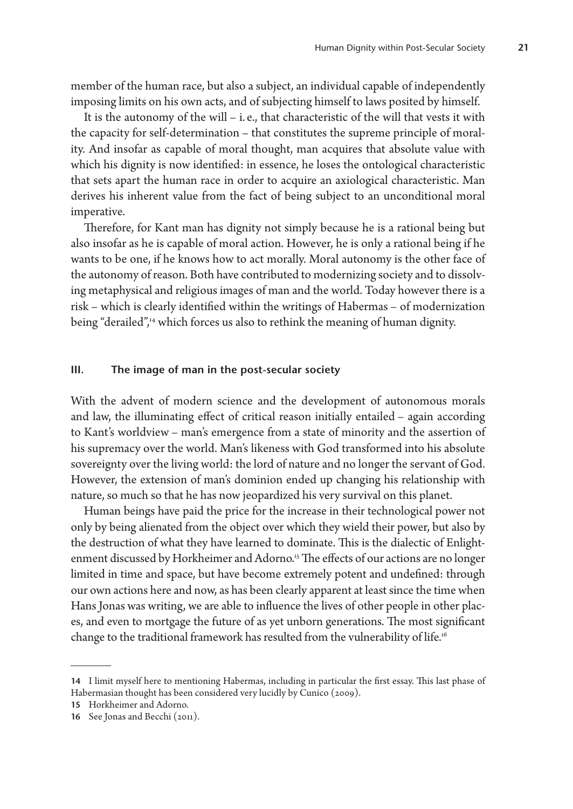member of the human race, but also a subject, an individual capable of independently imposing limits on his own acts, and of subjecting himself to laws posited by himself.

It is the autonomy of the will – i. e., that characteristic of the will that vests it with the capacity for self-determination – that constitutes the supreme principle of morality. And insofar as capable of moral thought, man acquires that absolute value with which his dignity is now identified: in essence, he loses the ontological characteristic that sets apart the human race in order to acquire an axiological characteristic. Man derives his inherent value from the fact of being subject to an unconditional moral imperative.

Therefore, for Kant man has dignity not simply because he is a rational being but also insofar as he is capable of moral action. However, he is only a rational being if he wants to be one, if he knows how to act morally. Moral autonomy is the other face of the autonomy of reason. Both have contributed to modernizing society and to dissolving metaphysical and religious images of man and the world. Today however there is a risk – which is clearly identified within the writings of Habermas – of modernization being "derailed",<sup>14</sup> which forces us also to rethink the meaning of human dignity.

#### **III. The image of man in the post-secular society**

With the advent of modern science and the development of autonomous morals and law, the illuminating effect of critical reason initially entailed – again according to Kant's worldview – man's emergence from a state of minority and the assertion of his supremacy over the world. Man's likeness with God transformed into his absolute sovereignty over the living world: the lord of nature and no longer the servant of God. However, the extension of man's dominion ended up changing his relationship with nature, so much so that he has now jeopardized his very survival on this planet.

Human beings have paid the price for the increase in their technological power not only by being alienated from the object over which they wield their power, but also by the destruction of what they have learned to dominate. This is the dialectic of Enlightenment discussed by Horkheimer and Adorno.<sup>15</sup> The effects of our actions are no longer limited in time and space, but have become extremely potent and undefined: through our own actions here and now, as has been clearly apparent at least since the time when Hans Jonas was writing, we are able to influence the lives of other people in other places, and even to mortgage the future of as yet unborn generations. The most significant change to the traditional framework has resulted from the vulnerability of life.<sup>16</sup>

**<sup>14</sup>** I limit myself here to mentioning Habermas, including in particular the first essay. This last phase of Habermasian thought has been considered very lucidly by Cunico (2009).

**<sup>15</sup>** Horkheimer and Adorno.

**<sup>16</sup>** See Jonas and Becchi (2011).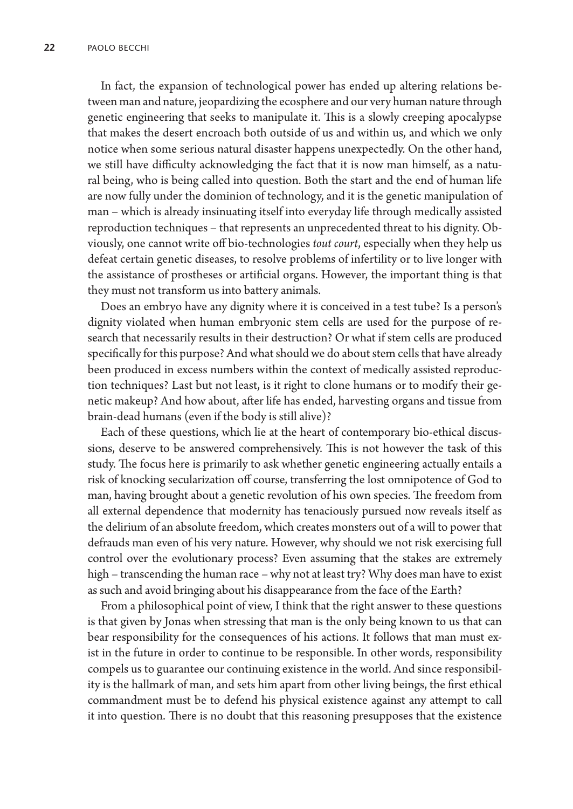In fact, the expansion of technological power has ended up altering relations between man and nature, jeopardizing the ecosphere and our very human nature through genetic engineering that seeks to manipulate it. This is a slowly creeping apocalypse that makes the desert encroach both outside of us and within us, and which we only notice when some serious natural disaster happens unexpectedly. On the other hand, we still have difficulty acknowledging the fact that it is now man himself, as a natural being, who is being called into question. Both the start and the end of human life are now fully under the dominion of technology, and it is the genetic manipulation of man – which is already insinuating itself into everyday life through medically assisted reproduction techniques – that represents an unprecedented threat to his dignity. Obviously, one cannot write off bio-technologies *tout court*, especially when they help us defeat certain genetic diseases, to resolve problems of infertility or to live longer with the assistance of prostheses or artificial organs. However, the important thing is that they must not transform us into battery animals.

Does an embryo have any dignity where it is conceived in a test tube? Is a person's dignity violated when human embryonic stem cells are used for the purpose of research that necessarily results in their destruction? Or what if stem cells are produced specifically for this purpose? And what should we do about stem cells that have already been produced in excess numbers within the context of medically assisted reproduction techniques? Last but not least, is it right to clone humans or to modify their genetic makeup? And how about, after life has ended, harvesting organs and tissue from brain-dead humans (even if the body is still alive)?

Each of these questions, which lie at the heart of contemporary bio-ethical discussions, deserve to be answered comprehensively. This is not however the task of this study. The focus here is primarily to ask whether genetic engineering actually entails a risk of knocking secularization off course, transferring the lost omnipotence of God to man, having brought about a genetic revolution of his own species. The freedom from all external dependence that modernity has tenaciously pursued now reveals itself as the delirium of an absolute freedom, which creates monsters out of a will to power that defrauds man even of his very nature. However, why should we not risk exercising full control over the evolutionary process? Even assuming that the stakes are extremely high – transcending the human race – why not at least try? Why does man have to exist as such and avoid bringing about his disappearance from the face of the Earth?

From a philosophical point of view, I think that the right answer to these questions is that given by Jonas when stressing that man is the only being known to us that can bear responsibility for the consequences of his actions. It follows that man must exist in the future in order to continue to be responsible. In other words, responsibility compels us to guarantee our continuing existence in the world. And since responsibility is the hallmark of man, and sets him apart from other living beings, the first ethical commandment must be to defend his physical existence against any attempt to call it into question. There is no doubt that this reasoning presupposes that the existence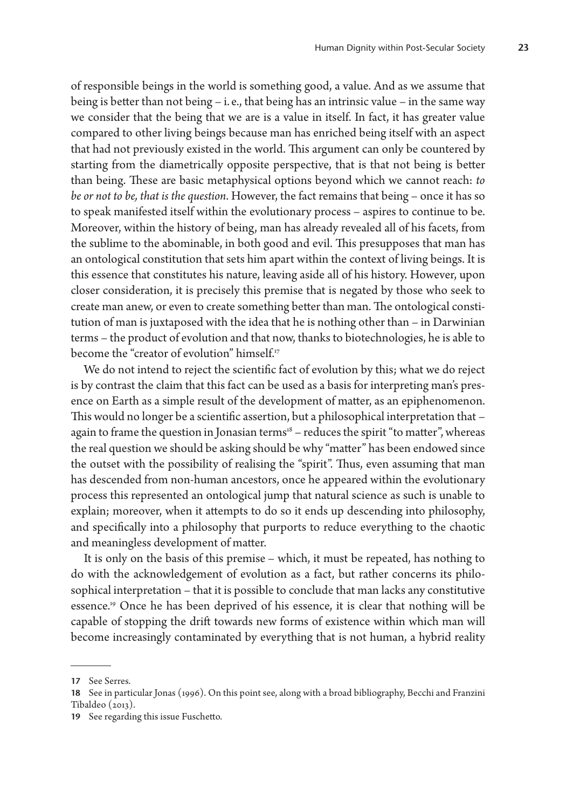of responsible beings in the world is something good, a value. And as we assume that being is better than not being – i. e., that being has an intrinsic value – in the same way we consider that the being that we are is a value in itself. In fact, it has greater value compared to other living beings because man has enriched being itself with an aspect that had not previously existed in the world. This argument can only be countered by starting from the diametrically opposite perspective, that is that not being is better than being. These are basic metaphysical options beyond which we cannot reach: *to be or not to be, that is the question*. However, the fact remains that being – once it has so to speak manifested itself within the evolutionary process – aspires to continue to be. Moreover, within the history of being, man has already revealed all of his facets, from the sublime to the abominable, in both good and evil. This presupposes that man has an ontological constitution that sets him apart within the context of living beings. It is this essence that constitutes his nature, leaving aside all of his history. However, upon closer consideration, it is precisely this premise that is negated by those who seek to create man anew, or even to create something better than man. The ontological constitution of man is juxtaposed with the idea that he is nothing other than – in Darwinian terms – the product of evolution and that now, thanks to biotechnologies, he is able to become the "creator of evolution" himself.<sup>17</sup>

We do not intend to reject the scientific fact of evolution by this; what we do reject is by contrast the claim that this fact can be used as a basis for interpreting man's presence on Earth as a simple result of the development of matter, as an epiphenomenon. This would no longer be a scientific assertion, but a philosophical interpretation that – again to frame the question in Jonasian terms $18 -$  reduces the spirit "to matter", whereas the real question we should be asking should be why "matter" has been endowed since the outset with the possibility of realising the "spirit". Thus, even assuming that man has descended from non-human ancestors, once he appeared within the evolutionary process this represented an ontological jump that natural science as such is unable to explain; moreover, when it attempts to do so it ends up descending into philosophy, and specifically into a philosophy that purports to reduce everything to the chaotic and meaningless development of matter.

It is only on the basis of this premise – which, it must be repeated, has nothing to do with the acknowledgement of evolution as a fact, but rather concerns its philosophical interpretation – that it is possible to conclude that man lacks any constitutive essence.<sup>19</sup> Once he has been deprived of his essence, it is clear that nothing will be capable of stopping the drift towards new forms of existence within which man will become increasingly contaminated by everything that is not human, a hybrid reality

**<sup>17</sup>** See Serres.

**<sup>18</sup>** See in particular Jonas (1996). On this point see, along with a broad bibliography, Becchi and Franzini Tibaldeo (2013).

**<sup>19</sup>** See regarding this issue Fuschetto.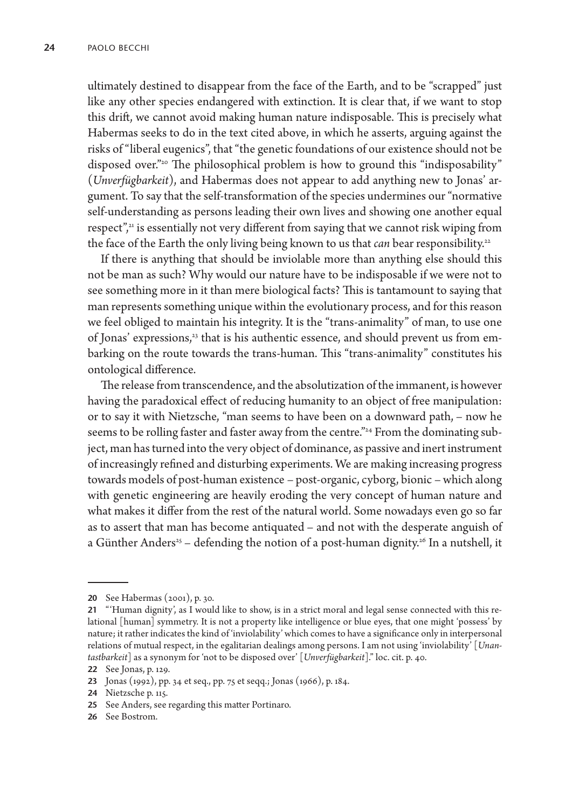ultimately destined to disappear from the face of the Earth, and to be "scrapped" just like any other species endangered with extinction. It is clear that, if we want to stop this drift, we cannot avoid making human nature indisposable. This is precisely what Habermas seeks to do in the text cited above, in which he asserts, arguing against the risks of "liberal eugenics", that "the genetic foundations of our existence should not be disposed over."<sup>20</sup> The philosophical problem is how to ground this "indisposability" (*Unverfügbarkeit*), and Habermas does not appear to add anything new to Jonas' argument. To say that the self-transformation of the species undermines our "normative self-understanding as persons leading their own lives and showing one another equal respect", $i$  is essentially not very different from saying that we cannot risk wiping from the face of the Earth the only living being known to us that *can* bear responsibility.<sup>22</sup>

If there is anything that should be inviolable more than anything else should this not be man as such? Why would our nature have to be indisposable if we were not to see something more in it than mere biological facts? This is tantamount to saying that man represents something unique within the evolutionary process, and for this reason we feel obliged to maintain his integrity. It is the "trans-animality" of man, to use one of Jonas' expressions,<sup>23</sup> that is his authentic essence, and should prevent us from embarking on the route towards the trans-human. This "trans-animality" constitutes his ontological difference.

The release from transcendence, and the absolutization of the immanent, is however having the paradoxical effect of reducing humanity to an object of free manipulation: or to say it with Nietzsche, "man seems to have been on a downward path, – now he seems to be rolling faster and faster away from the centre."<sup>24</sup> From the dominating subject, man has turned into the very object of dominance, as passive and inert instrument of increasingly refined and disturbing experiments. We are making increasing progress towards models of post-human existence – post-organic, cyborg, bionic – which along with genetic engineering are heavily eroding the very concept of human nature and what makes it differ from the rest of the natural world. Some nowadays even go so far as to assert that man has become antiquated – and not with the desperate anguish of a Günther Anders<sup>25</sup> – defending the notion of a post-human dignity.<sup>26</sup> In a nutshell, it

**<sup>20</sup>** See Habermas (2001), p. 30.

**<sup>21</sup>** "'Human dignity', as I would like to show, is in a strict moral and legal sense connected with this relational [human] symmetry. It is not a property like intelligence or blue eyes, that one might 'possess' by nature; it rather indicates the kind of 'inviolability' which comes to have a significance only in interpersonal relations of mutual respect, in the egalitarian dealings among persons. I am not using 'inviolability' [*Unantastbarkeit*] as a synonym for 'not to be disposed over' [*Unverfügbarkeit*]." loc. cit. p. 40.

**<sup>22</sup>** See Jonas, p. 129.

**<sup>23</sup>** Jonas (1992), pp. 34 et seq., pp. 75 et seqq.; Jonas (1966), p. 184.

**<sup>24</sup>** Nietzsche p. 115.

**<sup>25</sup>** See Anders, see regarding this matter Portinaro.

**<sup>26</sup>** See Bostrom.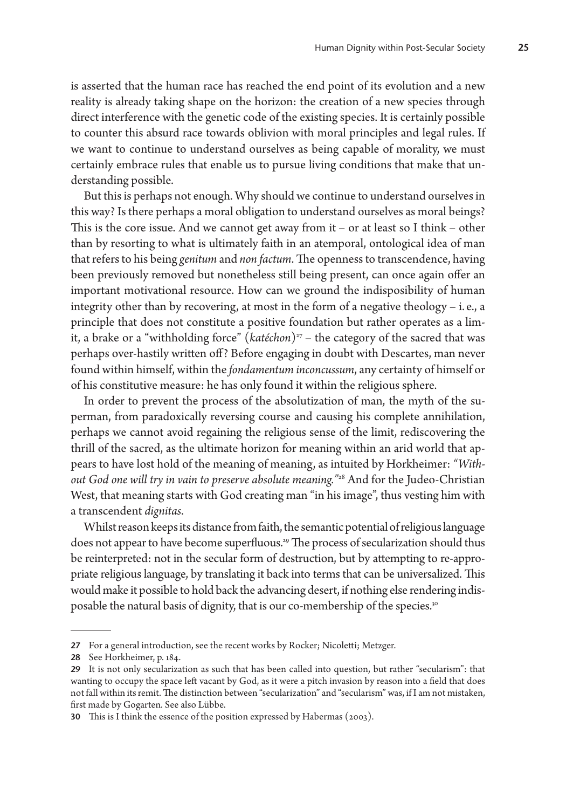is asserted that the human race has reached the end point of its evolution and a new reality is already taking shape on the horizon: the creation of a new species through direct interference with the genetic code of the existing species. It is certainly possible to counter this absurd race towards oblivion with moral principles and legal rules. If we want to continue to understand ourselves as being capable of morality, we must certainly embrace rules that enable us to pursue living conditions that make that understanding possible.

But this is perhaps not enough. Why should we continue to understand ourselves in this way? Is there perhaps a moral obligation to understand ourselves as moral beings? This is the core issue. And we cannot get away from it – or at least so I think – other than by resorting to what is ultimately faith in an atemporal, ontological idea of man that refers to his being *genitum* and *non factum*. The openness to transcendence, having been previously removed but nonetheless still being present, can once again offer an important motivational resource. How can we ground the indisposibility of human integrity other than by recovering, at most in the form of a negative theology – i. e., a principle that does not constitute a positive foundation but rather operates as a limit, a brake or a "withholding force" ( $katéchon$ )<sup>27</sup> – the category of the sacred that was perhaps over-hastily written off? Before engaging in doubt with Descartes, man never found within himself, within the *fondamentum inconcussum*, any certainty of himself or of his constitutive measure: he has only found it within the religious sphere.

In order to prevent the process of the absolutization of man, the myth of the superman, from paradoxically reversing course and causing his complete annihilation, perhaps we cannot avoid regaining the religious sense of the limit, rediscovering the thrill of the sacred, as the ultimate horizon for meaning within an arid world that appears to have lost hold of the meaning of meaning, as intuited by Horkheimer: *"Without God one will try in vain to preserve absolute meaning."*28 And for the Judeo-Christian West, that meaning starts with God creating man "in his image", thus vesting him with a transcendent *dignitas*.

Whilst reason keeps its distance from faith, the semantic potential of religious language does not appear to have become superfluous.29 The process of secularization should thus be reinterpreted: not in the secular form of destruction, but by attempting to re-appropriate religious language, by translating it back into terms that can be universalized. This would make it possible to hold back the advancing desert, if nothing else rendering indisposable the natural basis of dignity, that is our co-membership of the species.<sup>30</sup>

**<sup>27</sup>** For a general introduction, see the recent works by Rocker; Nicoletti; Metzger.

**<sup>28</sup>** See Horkheimer, p. 184.

**<sup>29</sup>** It is not only secularization as such that has been called into question, but rather "secularism": that wanting to occupy the space left vacant by God, as it were a pitch invasion by reason into a field that does not fall within its remit. The distinction between "secularization" and "secularism" was, if I am not mistaken, first made by Gogarten. See also Lübbe.

**<sup>30</sup>** This is I think the essence of the position expressed by Habermas (2003).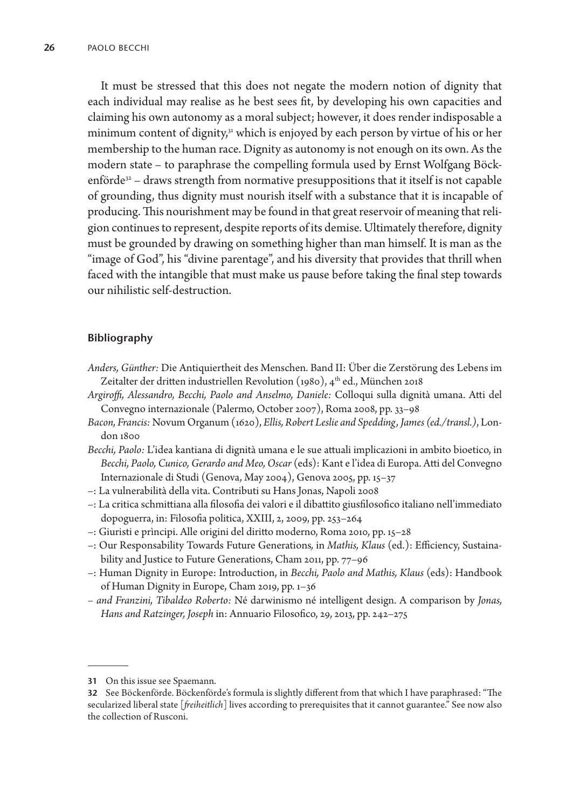It must be stressed that this does not negate the modern notion of dignity that each individual may realise as he best sees fit, by developing his own capacities and claiming his own autonomy as a moral subject; however, it does render indisposable a minimum content of dignity,<sup>31</sup> which is enjoyed by each person by virtue of his or her membership to the human race. Dignity as autonomy is not enough on its own. As the modern state – to paraphrase the compelling formula used by Ernst Wolfgang Böckenförde $32 -$  draws strength from normative presuppositions that it itself is not capable of grounding, thus dignity must nourish itself with a substance that it is incapable of producing. This nourishment may be found in that great reservoir of meaning that religion continues to represent, despite reports of its demise. Ultimately therefore, dignity must be grounded by drawing on something higher than man himself. It is man as the "image of God", his "divine parentage", and his diversity that provides that thrill when faced with the intangible that must make us pause before taking the final step towards our nihilistic self-destruction.

# **Bibliography**

- *Anders, Günther:* Die Antiquiertheit des Menschen. Band II: Über die Zerstörung des Lebens im Zeitalter der dritten industriellen Revolution (1980), 4<sup>th</sup> ed., München 2018
- *Argiroffi, Alessandro, Becchi, Paolo and Anselmo, Daniele:* Colloqui sulla dignità umana. Atti del Convegno internazionale (Palermo, October 2007), Roma 2008, pp.33–98
- *Bacon, Francis:* Novum Organum (1620), *Ellis, Robert Leslie and Spedding, James(ed./transl.)*, London 1800
- *Becchi, Paolo:* L'idea kantiana di dignità umana e le sue attuali implicazioni in ambito bioetico, in *Becchi, Paolo, Cunico, Gerardo and Meo, Oscar* (eds): Kant e l'idea di Europa. Atti del Convegno Internazionale di Studi (Genova, May 2004), Genova 2005, pp. 15–37
- –: La vulnerabilità della vita. Contributi su Hans Jonas, Napoli 2008
- –: La critica schmittiana alla filosofia dei valori e il dibattito giusfilosofico italiano nell'immediato dopoguerra, in: Filosofia politica, XXIII, 2, 2009, pp. 253–264
- –: Giuristi e prìncipi. Alle origini del diritto moderno, Roma 2010, pp. 15–28
- –: Our Responsability Towards Future Generations*,* in *Mathis, Klaus* (ed.): Efficiency, Sustainability and Justice to Future Generations, Cham 2011, pp. 77–96
- –: Human Dignity in Europe: Introduction, in *Becchi, Paolo and Mathis, Klaus* (eds): Handbook of Human Dignity in Europe, Cham 2019, pp. 1–36
- *and Franzini, Tibaldeo Roberto:* Né darwinismo né intelligent design. A comparison by *Jonas, Hans and Ratzinger, Joseph* in: Annuario Filosofico, 29, 2013, pp. 242–275

**<sup>31</sup>** On this issue see Spaemann.

**<sup>32</sup>** See Böckenförde. Böckenförde's formula is slightly different from that which I have paraphrased: "The secularized liberal state [*freiheitlich*] lives according to prerequisites that it cannot guarantee." See now also the collection of Rusconi.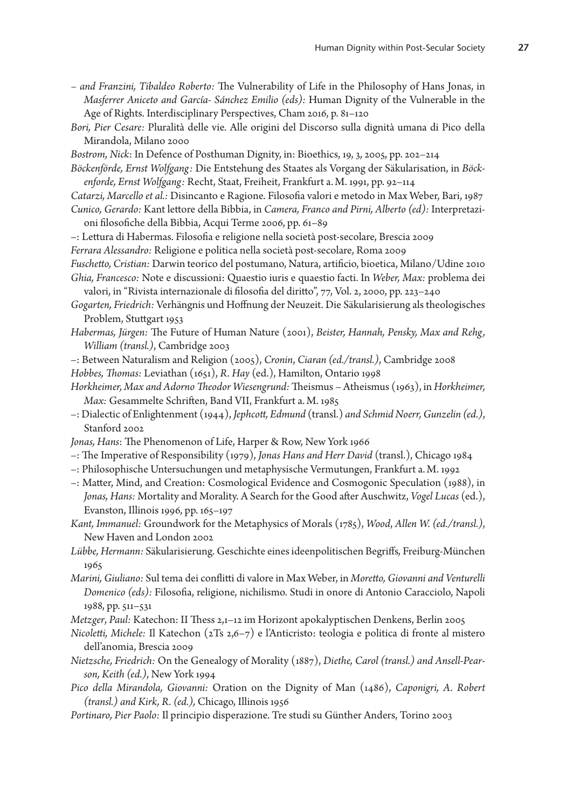- *and Franzini, Tibaldeo Roberto:* The Vulnerability of Life in the Philosophy of Hans Jonas, in *Masferrer Aniceto and García- Sánchez Emilio (eds):* Human Dignity of the Vulnerable in the Age of Rights. Interdisciplinary Perspectives, Cham 2016, p. 81–120
- *Bori, Pier Cesare:* Pluralità delle vie. Alle origini del Discorso sulla dignità umana di Pico della Mirandola, Milano 2000
- *Bostrom, Nick*: In Defence of Posthuman Dignity, in: Bioethics, 19, 3, 2005, pp. 202–214
- *Böckenförde, Ernst Wolfgang:* Die Entstehung des Staates als Vorgang der Säkularisation, in *Böckenforde, Ernst Wolfgang:* Recht, Staat, Freiheit, Frankfurt a.M. 1991, pp. 92–114
- *Catarzi, Marcello et al.:* Disincanto e Ragione. Filosofia valori e metodo in Max Weber, Bari, 1987 *Cunico, Gerardo:* Kant lettore della Bibbia, in *Camera, Franco and Pirni, Alberto (ed):* Interpretazioni filosofiche della Bibbia, Acqui Terme 2006, pp. 61–89
- –: Lettura di Habermas. Filosofia e religione nella società post-secolare, Brescia 2009
- *Ferrara Alessandro:* Religione e politica nella società post-secolare, Roma 2009
- *Fuschetto, Cristian:* Darwin teorico del postumano, Natura, artificio, bioetica, Milano/Udine 2010 *Ghia, Francesco:* Note e discussioni: Quaestio iuris e quaestio facti. In *Weber, Max:* problema dei valori, in "Rivista internazionale di filosofia del diritto", 77, Vol. 2, 2000, pp. 223–240
- *Gogarten, Friedrich:* Verhängnis und Hoffnung der Neuzeit. Die Säkularisierung als theologisches Problem, Stuttgart 1953
- *Habermas, Jürgen:* The Future of Human Nature (2001), *Beister, Hannah, Pensky, Max and Rehg, William (transl.)*, Cambridge 2003
- –: Between Naturalism and Religion (2005), *Cronin*, *Ciaran (ed./transl.)*, Cambridge 2008

*Hobbes, Thomas:* Leviathan (1651), *R. Hay* (ed.), Hamilton, Ontario 1998

- *Horkheimer, Max and Adorno Theodor Wiesengrund:* Theismus Atheismus (1963), in *Horkheimer, Max:* Gesammelte Schriften, Band VII, Frankfurt a.M. 1985
- –: Dialectic of Enlightenment (1944), *Jephcott, Edmund* (transl.) *and Schmid Noerr, Gunzelin (ed.)*, Stanford 2002
- *Jonas, Hans*: The Phenomenon of Life, Harper & Row, New York 1966
- –: The Imperative of Responsibility (1979), *Jonas Hans and Herr David* (transl.), Chicago 1984
- –: Philosophische Untersuchungen und metaphysische Vermutungen, Frankfurt a.M. 1992
- –: Matter, Mind, and Creation: Cosmological Evidence and Cosmogonic Speculation (1988), in *Jonas, Hans:* Mortality and Morality. A Search for the Good after Auschwitz, *Vogel Lucas* (ed.), Evanston, Illinois 1996, pp. 165–197
- *Kant, Immanuel:* Groundwork for the Metaphysics of Morals (1785), *Wood*, *Allen W.(ed./transl.)*, New Haven and London 2002
- *Lübbe, Hermann:* Säkularisierung. Geschichte eines ideenpolitischen Begriffs*,* Freiburg-München 1965
- *Marini, Giuliano:* Sul tema dei conflitti di valore in Max Weber, in *Moretto, Giovanni and Venturelli Domenico (eds):* Filosofia, religione, nichilismo. Studi in onore di Antonio Caracciolo, Napoli 1988, pp. 511–531

*Metzger*, *Paul:* Katechon: II Thess 2,1–12 im Horizont apokalyptischen Denkens, Berlin 2005

- *Nicoletti, Michele:* Il Katechon (2Ts 2,6–7) e l'Anticristo: teologia e politica di fronte al mistero dell'anomia, Brescia 2009
- *Nietzsche, Friedrich:* On the Genealogy of Morality (1887), *Diethe, Carol (transl.) and Ansell-Pearson, Keith (ed.)*, New York 1994
- *Pico della Mirandola, Giovanni:* Oration on the Dignity of Man (1486), *Caponigri, A. Robert (transl.) and Kirk, R. (ed.),* Chicago, Illinois 1956
- *Portinaro, Pier Paolo:* Il principio disperazione. Tre studi su Günther Anders, Torino 2003